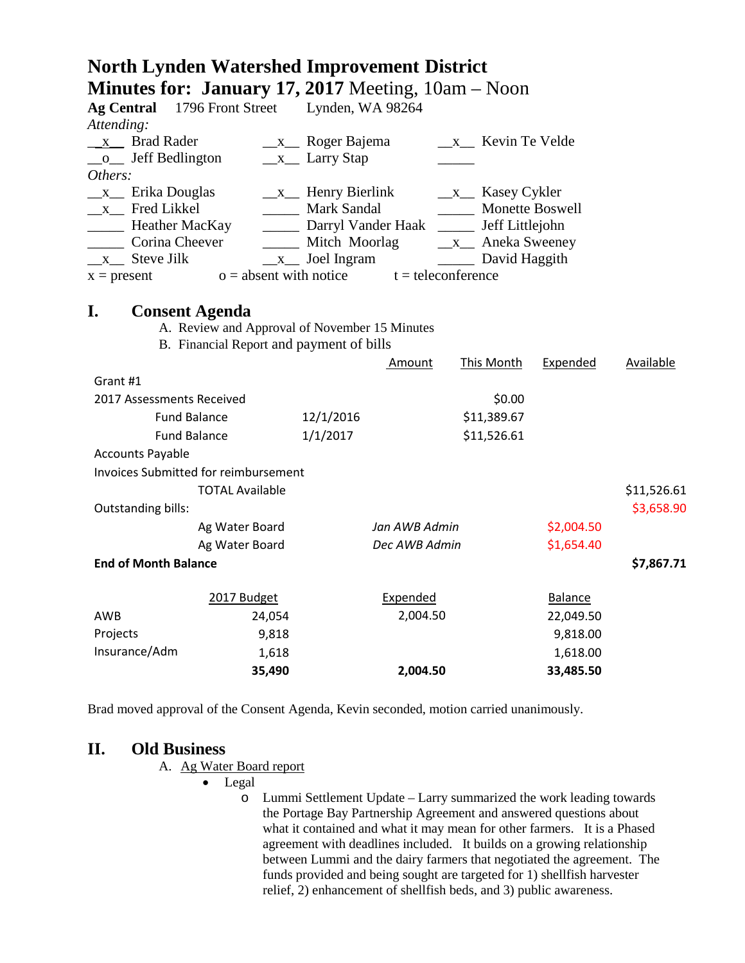# **North Lynden Watershed Improvement District Minutes for: January 17, 2017** Meeting, 10am – Noon

| $10001$ $101$ $1001$ $10001$ $11$ $10001$<br><b>Ag Central</b> | 1796 Front Street Lynden, WA 98264                                                        |                                              |                      |                                      |                 |             |
|----------------------------------------------------------------|-------------------------------------------------------------------------------------------|----------------------------------------------|----------------------|--------------------------------------|-----------------|-------------|
| Attending:                                                     |                                                                                           |                                              |                      |                                      |                 |             |
| x Brad Rader                                                   |                                                                                           | $\_\_x\_\_$ Roger Bajema<br>x Kevin Te Velde |                      |                                      |                 |             |
| Jeff Bedlington<br>$\mathbf{O}$                                |                                                                                           | $\frac{\mathbf{x}}{2}$ Larry Stap            |                      |                                      |                 |             |
| Others:                                                        |                                                                                           |                                              |                      |                                      |                 |             |
| $x$ Erika Douglas                                              |                                                                                           | $x$ Henry Bierlink                           |                      | $x$ <sub>_</sub> Kasey Cykler        |                 |             |
| x Fred Likkel                                                  |                                                                                           | <b>Mark Sandal</b>                           |                      | Monette Boswell                      |                 |             |
| Heather MacKay                                                 |                                                                                           | Darryl Vander Haak                           |                      |                                      | Jeff Littlejohn |             |
| Corina Cheever                                                 |                                                                                           | Mitch Moorlag                                |                      | $\frac{\mathbf{x}}{2}$ Aneka Sweeney |                 |             |
| $x$ Steve Jilk                                                 |                                                                                           | $\frac{\ }{2}$ Joel Ingram                   |                      | David Haggith                        |                 |             |
| $x = present$                                                  | $o =$ absent with notice                                                                  |                                              | $t =$ teleconference |                                      |                 |             |
|                                                                |                                                                                           |                                              |                      |                                      |                 |             |
| I.<br><b>Consent Agenda</b>                                    |                                                                                           |                                              |                      |                                      |                 |             |
|                                                                | A. Review and Approval of November 15 Minutes<br>B. Financial Report and payment of bills |                                              |                      |                                      |                 |             |
|                                                                |                                                                                           |                                              | Amount               | <b>This Month</b>                    | Expended        | Available   |
| Grant #1                                                       |                                                                                           |                                              |                      |                                      |                 |             |
|                                                                |                                                                                           |                                              |                      |                                      |                 |             |
| 2017 Assessments Received                                      |                                                                                           |                                              |                      | \$0.00                               |                 |             |
| <b>Fund Balance</b>                                            |                                                                                           | 12/1/2016                                    |                      | \$11,389.67                          |                 |             |
| <b>Fund Balance</b>                                            |                                                                                           | 1/1/2017                                     |                      | \$11,526.61                          |                 |             |
| <b>Accounts Payable</b>                                        |                                                                                           |                                              |                      |                                      |                 |             |
|                                                                | <b>Invoices Submitted for reimbursement</b>                                               |                                              |                      |                                      |                 |             |
|                                                                | <b>TOTAL Available</b>                                                                    |                                              |                      |                                      |                 | \$11,526.61 |
| <b>Outstanding bills:</b>                                      |                                                                                           |                                              |                      |                                      |                 | \$3,658.90  |
|                                                                | Ag Water Board                                                                            |                                              | Jan AWB Admin        |                                      | \$2,004.50      |             |
| Ag Water Board                                                 |                                                                                           | Dec AWB Admin                                |                      | \$1,654.40                           |                 |             |
| <b>End of Month Balance</b>                                    |                                                                                           |                                              |                      |                                      |                 | \$7,867.71  |
|                                                                |                                                                                           |                                              |                      |                                      |                 |             |
|                                                                | 2017 Budget                                                                               |                                              | Expended             |                                      | Balance         |             |
| AWB                                                            | 24,054                                                                                    | 2,004.50                                     |                      |                                      | 22,049.50       |             |
| Projects                                                       | 9,818                                                                                     |                                              |                      |                                      | 9,818.00        |             |
| Insurance/Adm                                                  | 1,618                                                                                     |                                              |                      |                                      | 1,618.00        |             |
|                                                                | 35,490                                                                                    |                                              | 2,004.50             |                                      | 33,485.50       |             |

Brad moved approval of the Consent Agenda, Kevin seconded, motion carried unanimously.

### **II. Old Business**

#### A. Ag Water Board report

• Legal

o Lummi Settlement Update – Larry summarized the work leading towards the Portage Bay Partnership Agreement and answered questions about what it contained and what it may mean for other farmers. It is a Phased agreement with deadlines included. It builds on a growing relationship between Lummi and the dairy farmers that negotiated the agreement. The funds provided and being sought are targeted for 1) shellfish harvester relief, 2) enhancement of shellfish beds, and 3) public awareness.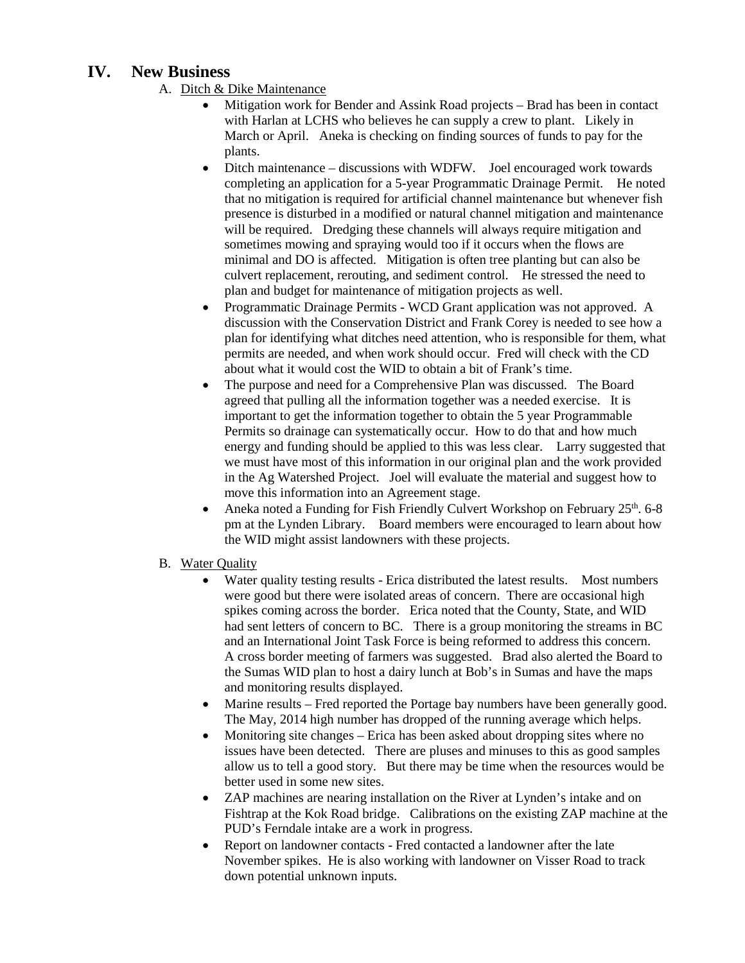# **IV. New Business**

- A. Ditch & Dike Maintenance
	- Mitigation work for Bender and Assink Road projects Brad has been in contact with Harlan at LCHS who believes he can supply a crew to plant. Likely in March or April. Aneka is checking on finding sources of funds to pay for the plants.
	- Ditch maintenance discussions with WDFW. Joel encouraged work towards completing an application for a 5-year Programmatic Drainage Permit. He noted that no mitigation is required for artificial channel maintenance but whenever fish presence is disturbed in a modified or natural channel mitigation and maintenance will be required. Dredging these channels will always require mitigation and sometimes mowing and spraying would too if it occurs when the flows are minimal and DO is affected. Mitigation is often tree planting but can also be culvert replacement, rerouting, and sediment control. He stressed the need to plan and budget for maintenance of mitigation projects as well.
	- Programmatic Drainage Permits WCD Grant application was not approved. A discussion with the Conservation District and Frank Corey is needed to see how a plan for identifying what ditches need attention, who is responsible for them, what permits are needed, and when work should occur. Fred will check with the CD about what it would cost the WID to obtain a bit of Frank's time.
	- The purpose and need for a Comprehensive Plan was discussed. The Board agreed that pulling all the information together was a needed exercise. It is important to get the information together to obtain the 5 year Programmable Permits so drainage can systematically occur. How to do that and how much energy and funding should be applied to this was less clear. Larry suggested that we must have most of this information in our original plan and the work provided in the Ag Watershed Project. Joel will evaluate the material and suggest how to move this information into an Agreement stage.
	- Aneka noted a Funding for Fish Friendly Culvert Workshop on February  $25<sup>th</sup>$ . 6-8 pm at the Lynden Library. Board members were encouraged to learn about how the WID might assist landowners with these projects.
- B. Water Quality
	- Water quality testing results Erica distributed the latest results. Most numbers were good but there were isolated areas of concern. There are occasional high spikes coming across the border. Erica noted that the County, State, and WID had sent letters of concern to BC. There is a group monitoring the streams in BC and an International Joint Task Force is being reformed to address this concern. A cross border meeting of farmers was suggested. Brad also alerted the Board to the Sumas WID plan to host a dairy lunch at Bob's in Sumas and have the maps and monitoring results displayed.
	- Marine results Fred reported the Portage bay numbers have been generally good. The May, 2014 high number has dropped of the running average which helps.
	- Monitoring site changes Erica has been asked about dropping sites where no issues have been detected. There are pluses and minuses to this as good samples allow us to tell a good story. But there may be time when the resources would be better used in some new sites.
	- ZAP machines are nearing installation on the River at Lynden's intake and on Fishtrap at the Kok Road bridge. Calibrations on the existing ZAP machine at the PUD's Ferndale intake are a work in progress.
	- Report on landowner contacts Fred contacted a landowner after the late November spikes. He is also working with landowner on Visser Road to track down potential unknown inputs.